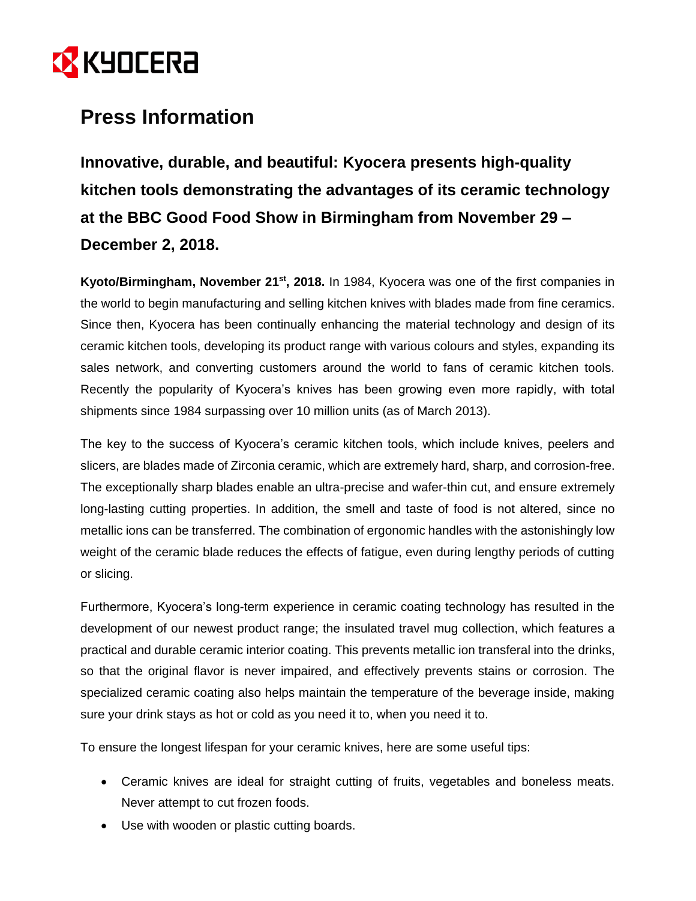

## **Press Information**

**Innovative, durable, and beautiful: Kyocera presents high-quality kitchen tools demonstrating the advantages of its ceramic technology at the BBC Good Food Show in Birmingham from November 29 – December 2, 2018.**

**Kyoto/Birmingham, November 21st, 2018.** In 1984, Kyocera was one of the first companies in the world to begin manufacturing and selling kitchen knives with blades made from [fine ceramics.](http://global.kyocera.com/fcworld/) Since then, Kyocera has been continually enhancing the material technology and design of its ceramic kitchen tools, developing its product range with various colours and styles, expanding its sales network, and converting customers around the world to fans of ceramic kitchen tools. Recently the popularity of Kyocera's knives has been growing even more rapidly, with total shipments since 1984 surpassing over 10 million units (as of March 2013).

The key to the success of Kyocera's ceramic kitchen tools, which include knives, peelers and slicers, are blades made of Zirconia ceramic, which are extremely hard, sharp, and corrosion-free. The exceptionally sharp blades enable an ultra-precise and wafer-thin cut, and ensure extremely long-lasting cutting properties. In addition, the smell and taste of food is not altered, since no metallic ions can be transferred. The combination of ergonomic handles with the astonishingly low weight of the ceramic blade reduces the effects of fatigue, even during lengthy periods of cutting or slicing.

Furthermore, Kyocera's long-term experience in ceramic coating technology has resulted in the development of our newest product range; the insulated travel mug collection, which features a practical and durable ceramic interior coating. This prevents metallic ion transferal into the drinks, so that the original flavor is never impaired, and effectively prevents stains or corrosion. The specialized ceramic coating also helps maintain the temperature of the beverage inside, making sure your drink stays as hot or cold as you need it to, when you need it to.

To ensure the longest lifespan for your ceramic knives, here are some useful tips:

- Ceramic knives are ideal for straight cutting of fruits, vegetables and boneless meats. Never attempt to cut frozen foods.
- Use with wooden or plastic cutting boards.